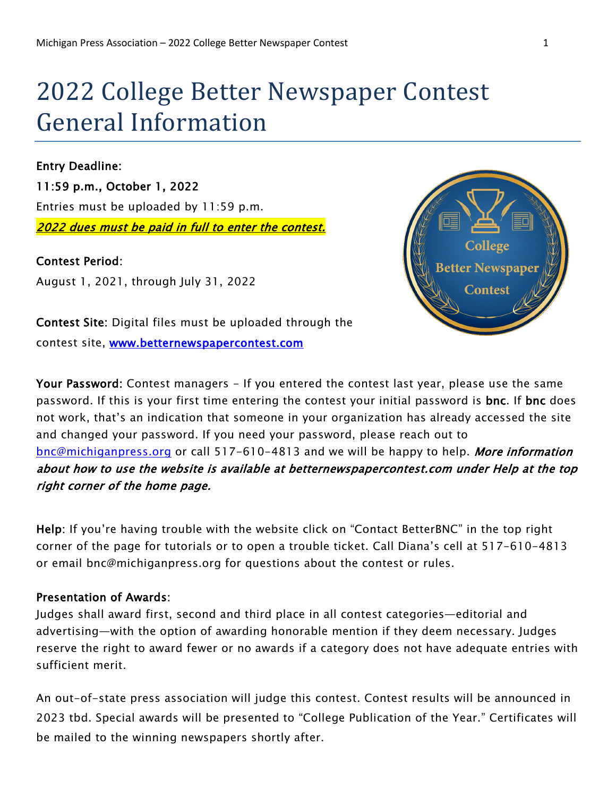# 2022 College Better Newspaper Contest General Information

Entry Deadline: 11:59 p.m., October 1, 2022 Entries must be uploaded by 11:59 p.m. 2022 dues must be paid in full to enter the contest.

Contest Period: August 1, 2021, through July 31, 2022



Contest Site: Digital files must be uploaded through the contest site, [www.betternewspapercontest.com](http://www.betternewspapercontest.com/) 

Your Password: Contest managers - If you entered the contest last year, please use the same password. If this is your first time entering the contest your initial password is bnc. If bnc does not work, that's an indication that someone in your organization has already accessed the site and changed your password. If you need your password, please reach out to [bnc@michiganpress.org](mailto:bnc@michiganpress.org) or call 517-610-4813 and we will be happy to help. More information about how to use the website is available at betternewspapercontest.com under Help at the top right corner of the home page.

Help: If you're having trouble with the website click on "Contact BetterBNC" in the top right corner of the page for tutorials or to open a trouble ticket. Call Diana's cell at 517-610-4813 or email bnc@michiganpress.org for questions about the contest or rules.

## Presentation of Awards:

Judges shall award first, second and third place in all contest categories—editorial and advertising—with the option of awarding honorable mention if they deem necessary. Judges reserve the right to award fewer or no awards if a category does not have adequate entries with sufficient merit.

An out-of-state press association will judge this contest. Contest results will be announced in 2023 tbd. Special awards will be presented to "College Publication of the Year." Certificates will be mailed to the winning newspapers shortly after.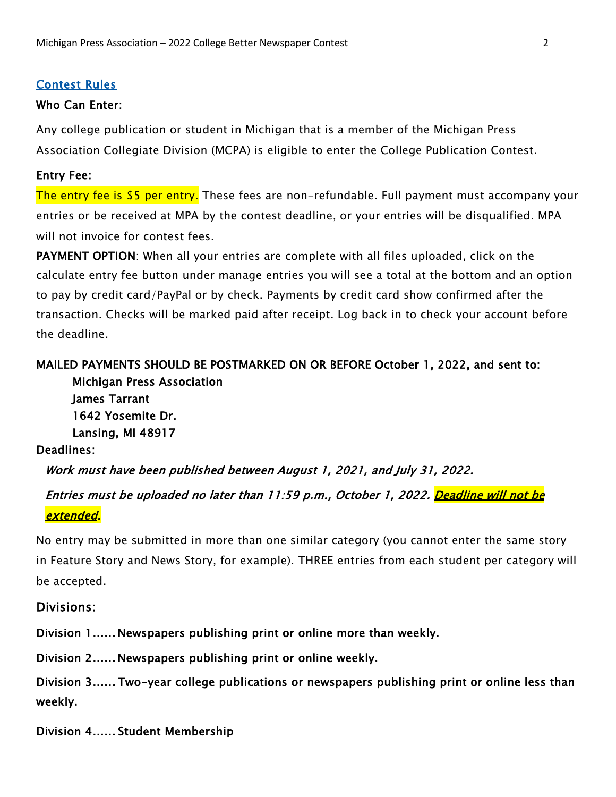#### Contest Rules

#### Who Can Enter:

Any college publication or student in Michigan that is a member of the Michigan Press Association Collegiate Division (MCPA) is eligible to enter the College Publication Contest.

#### Entry Fee:

The entry fee is \$5 per entry. These fees are non-refundable. Full payment must accompany your entries or be received at MPA by the contest deadline, or your entries will be disqualified. MPA will not invoice for contest fees.

PAYMENT OPTION: When all your entries are complete with all files uploaded, click on the calculate entry fee button under manage entries you will see a total at the bottom and an option to pay by credit card/PayPal or by check. Payments by credit card show confirmed after the transaction. Checks will be marked paid after receipt. Log back in to check your account before the deadline.

## MAILED PAYMENTS SHOULD BE POSTMARKED ON OR BEFORE October 1, 2022, and sent to: Michigan Press Association

James Tarrant 1642 Yosemite Dr. Lansing, MI 48917

#### Deadlines:

Work must have been published between August 1, 2021, and July 31, 2022.

# Entries must be uploaded no later than 11:59 p.m., October 1, 2022. <mark>Deadline will not be</mark> extended.

No entry may be submitted in more than one similar category (you cannot enter the same story in Feature Story and News Story, for example). THREE entries from each student per category will be accepted.

#### Divisions:

Division 1 ...... Newspapers publishing print or online more than weekly.

Division 2 ...... Newspapers publishing print or online weekly.

Division 3 ...... Two-year college publications or newspapers publishing print or online less than weekly.

Division 4 ...... Student Membership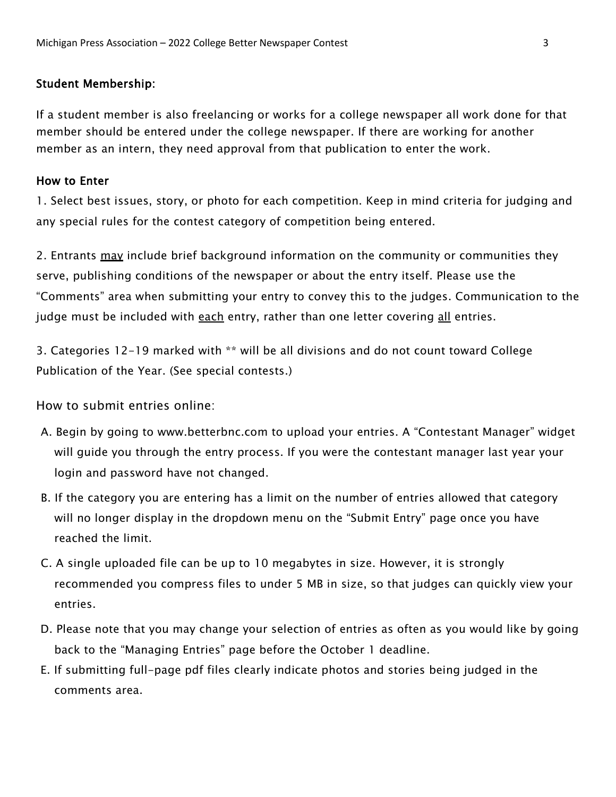#### Student Membership:

If a student member is also freelancing or works for a college newspaper all work done for that member should be entered under the college newspaper. If there are working for another member as an intern, they need approval from that publication to enter the work.

#### How to Enter

1. Select best issues, story, or photo for each competition. Keep in mind criteria for judging and any special rules for the contest category of competition being entered.

2. Entrants may include brief background information on the community or communities they serve, publishing conditions of the newspaper or about the entry itself. Please use the "Comments" area when submitting your entry to convey this to the judges. Communication to the judge must be included with each entry, rather than one letter covering all entries.

3. Categories 12-19 marked with \*\* will be all divisions and do not count toward College Publication of the Year. (See special contests.)

How to submit entries online:

- A. Begin by going to www.betterbnc.com to upload your entries. A "Contestant Manager" widget will guide you through the entry process. If you were the contestant manager last year your login and password have not changed.
- B. If the category you are entering has a limit on the number of entries allowed that category will no longer display in the dropdown menu on the "Submit Entry" page once you have reached the limit.
- C. A single uploaded file can be up to 10 megabytes in size. However, it is strongly recommended you compress files to under 5 MB in size, so that judges can quickly view your entries.
- D. Please note that you may change your selection of entries as often as you would like by going back to the "Managing Entries" page before the October 1 deadline.
- E. If submitting full-page pdf files clearly indicate photos and stories being judged in the comments area.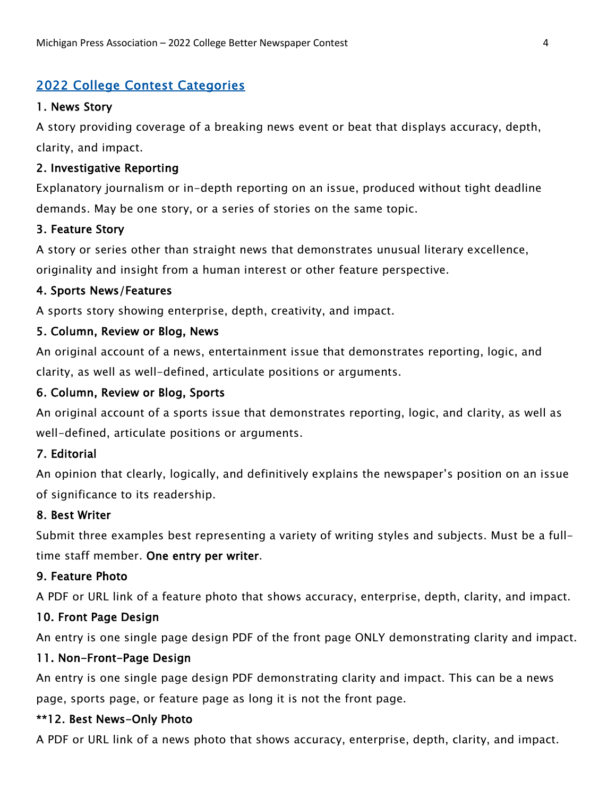## 2022 College Contest Categories

## 1. News Story

A story providing coverage of a breaking news event or beat that displays accuracy, depth, clarity, and impact.

## 2. Investigative Reporting

Explanatory journalism or in-depth reporting on an issue, produced without tight deadline demands. May be one story, or a series of stories on the same topic.

## 3. Feature Story

A story or series other than straight news that demonstrates unusual literary excellence,

originality and insight from a human interest or other feature perspective.

## 4. Sports News/Features

A sports story showing enterprise, depth, creativity, and impact.

## 5. Column, Review or Blog, News

An original account of a news, entertainment issue that demonstrates reporting, logic, and clarity, as well as well-defined, articulate positions or arguments.

## 6. Column, Review or Blog, Sports

An original account of a sports issue that demonstrates reporting, logic, and clarity, as well as well-defined, articulate positions or arguments.

## 7. Editorial

An opinion that clearly, logically, and definitively explains the newspaper's position on an issue of significance to its readership.

## 8. Best Writer

Submit three examples best representing a variety of writing styles and subjects. Must be a fulltime staff member. One entry per writer.

## 9. Feature Photo

A PDF or URL link of a feature photo that shows accuracy, enterprise, depth, clarity, and impact.

## 10. Front Page Design

An entry is one single page design PDF of the front page ONLY demonstrating clarity and impact.

## 11. Non-Front-Page Design

An entry is one single page design PDF demonstrating clarity and impact. This can be a news page, sports page, or feature page as long it is not the front page.

## \*\*12. Best News-Only Photo

A PDF or URL link of a news photo that shows accuracy, enterprise, depth, clarity, and impact.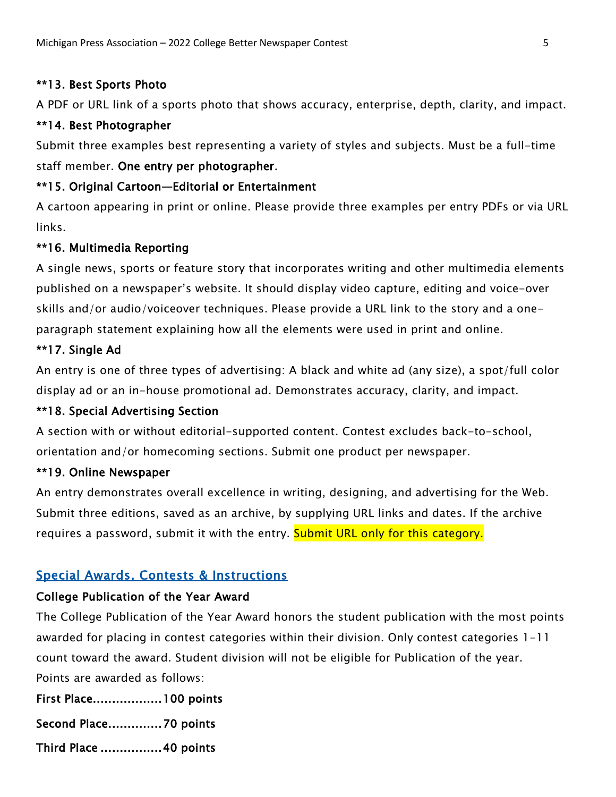## \*\*13. Best Sports Photo

A PDF or URL link of a sports photo that shows accuracy, enterprise, depth, clarity, and impact.

## \*\*14. Best Photographer

Submit three examples best representing a variety of styles and subjects. Must be a full-time staff member. One entry per photographer.

## \*\*15. Original Cartoon—Editorial or Entertainment

A cartoon appearing in print or online. Please provide three examples per entry PDFs or via URL links.

## \*\*16. Multimedia Reporting

A single news, sports or feature story that incorporates writing and other multimedia elements published on a newspaper's website. It should display video capture, editing and voice-over skills and/or audio/voiceover techniques. Please provide a URL link to the story and a oneparagraph statement explaining how all the elements were used in print and online.

## \*\*17. Single Ad

An entry is one of three types of advertising: A black and white ad (any size), a spot/full color display ad or an in-house promotional ad. Demonstrates accuracy, clarity, and impact.

## \*\*18. Special Advertising Section

A section with or without editorial-supported content. Contest excludes back-to-school, orientation and/or homecoming sections. Submit one product per newspaper.

## \*\*19. Online Newspaper

An entry demonstrates overall excellence in writing, designing, and advertising for the Web. Submit three editions, saved as an archive, by supplying URL links and dates. If the archive requires a password, submit it with the entry. Submit URL only for this category.

## Special Awards, Contests & Instructions

## College Publication of the Year Award

The College Publication of the Year Award honors the student publication with the most points awarded for placing in contest categories within their division. Only contest categories 1-11 count toward the award. Student division will not be eligible for Publication of the year. Points are awarded as follows:

First Place.................. 100 points

Second Place............... 70 points

Third Place ................ 40 points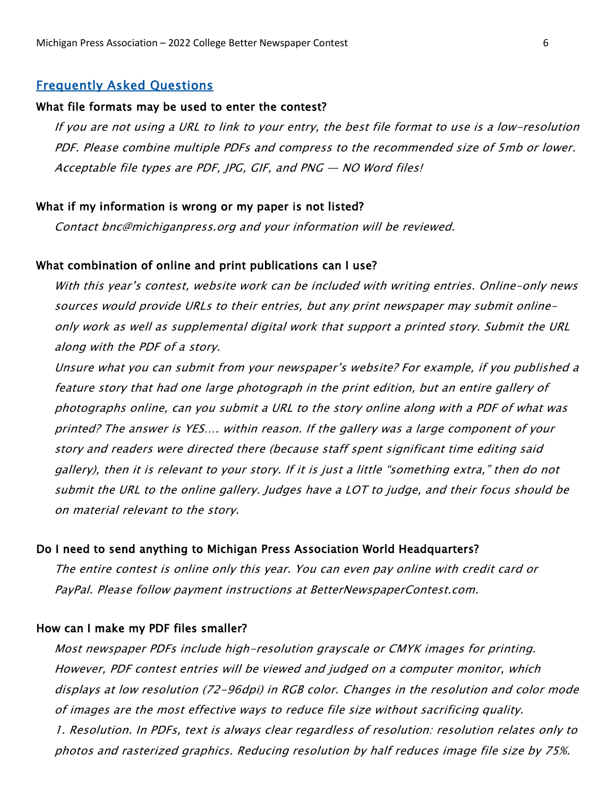#### Frequently Asked Questions

#### What file formats may be used to enter the contest?

If you are not using a URL to link to your entry, the best file format to use is a low-resolution PDF. Please combine multiple PDFs and compress to the recommended size of 5mb or lower. Acceptable file types are PDF, JPG, GIF, and PNG — NO Word files!

#### What if my information is wrong or my paper is not listed?

Contact bnc@michiganpress.org and your information will be reviewed.

#### What combination of online and print publications can I use?

With this year's contest, website work can be included with writing entries. Online-only news sources would provide URLs to their entries, but any print newspaper may submit onlineonly work as well as supplemental digital work that support a printed story. Submit the URL along with the PDF of a story.

Unsure what you can submit from your newspaper's website? For example, if you published a feature story that had one large photograph in the print edition, but an entire gallery of photographs online, can you submit a URL to the story online along with a PDF of what was printed? The answer is YES…. within reason. If the gallery was a large component of your story and readers were directed there (because staff spent significant time editing said gallery), then it is relevant to your story. If it is just a little "something extra," then do not submit the URL to the online gallery. Judges have a LOT to judge, and their focus should be on material relevant to the story.

#### Do I need to send anything to Michigan Press Association World Headquarters?

The entire contest is online only this year. You can even pay online with credit card or PayPal. Please follow payment instructions at BetterNewspaperContest.com.

#### How can I make my PDF files smaller?

Most newspaper PDFs include high-resolution grayscale or CMYK images for printing. However, PDF contest entries will be viewed and judged on a computer monitor, which displays at low resolution (72-96dpi) in RGB color. Changes in the resolution and color mode of images are the most effective ways to reduce file size without sacrificing quality. 1. Resolution. In PDFs, text is always clear regardless of resolution: resolution relates only to photos and rasterized graphics. Reducing resolution by half reduces image file size by 75%.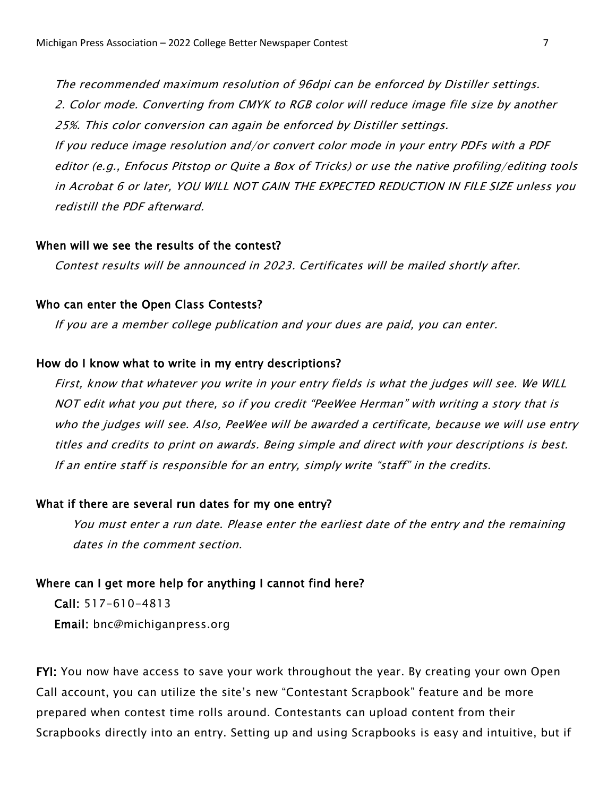The recommended maximum resolution of 96dpi can be enforced by Distiller settings. 2. Color mode. Converting from CMYK to RGB color will reduce image file size by another 25%. This color conversion can again be enforced by Distiller settings.

If you reduce image resolution and/or convert color mode in your entry PDFs with a PDF editor (e.g., Enfocus Pitstop or Quite a Box of Tricks) or use the native profiling/editing tools in Acrobat 6 or later, YOU WILL NOT GAIN THE EXPECTED REDUCTION IN FILE SIZE unless you redistill the PDF afterward.

#### When will we see the results of the contest?

Contest results will be announced in 2023. Certificates will be mailed shortly after.

#### Who can enter the Open Class Contests?

If you are a member college publication and your dues are paid, you can enter.

#### How do I know what to write in my entry descriptions?

First, know that whatever you write in your entry fields is what the judges will see. We WILL NOT edit what you put there, so if you credit "PeeWee Herman" with writing a story that is who the judges will see. Also, PeeWee will be awarded a certificate, because we will use entry titles and credits to print on awards. Being simple and direct with your descriptions is best. If an entire staff is responsible for an entry, simply write "staff" in the credits.

#### What if there are several run dates for my one entry?

You must enter a run date. Please enter the earliest date of the entry and the remaining dates in the comment section.

#### Where can I get more help for anything I cannot find here?

Call: 517-610-4813 Email: bnc@michiganpress.org

FYI: You now have access to save your work throughout the year. By creating your own Open Call account, you can utilize the site's new "Contestant Scrapbook" feature and be more prepared when contest time rolls around. Contestants can upload content from their Scrapbooks directly into an entry. Setting up and using Scrapbooks is easy and intuitive, but if